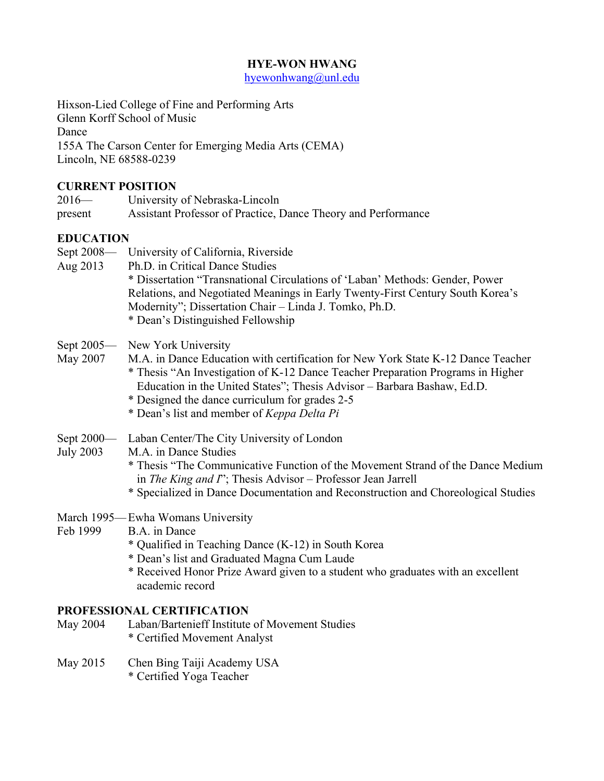#### **HYE-WON HWANG**

hyewonhwang@unl.edu

Hixson-Lied College of Fine and Performing Arts

Glenn Korff School of Music

Dance

155A The Carson Center for Emerging Media Arts (CEMA) Lincoln, NE 68588-0239

## **CURRENT POSITION**

| $2016-$          | University of Nebraska-Lincoln                                |  |  |
|------------------|---------------------------------------------------------------|--|--|
| present          | Assistant Professor of Practice, Dance Theory and Performance |  |  |
| <b>EDUCATION</b> |                                                               |  |  |

| Sept 2008-<br>Aug 2013         | University of California, Riverside<br>Ph.D. in Critical Dance Studies<br>* Dissertation "Transnational Circulations of 'Laban' Methods: Gender, Power<br>Relations, and Negotiated Meanings in Early Twenty-First Century South Korea's<br>Modernity"; Dissertation Chair - Linda J. Tomko, Ph.D.<br>* Dean's Distinguished Fellowship                                      |
|--------------------------------|------------------------------------------------------------------------------------------------------------------------------------------------------------------------------------------------------------------------------------------------------------------------------------------------------------------------------------------------------------------------------|
| Sept $2005$ —<br>May 2007      | New York University<br>M.A. in Dance Education with certification for New York State K-12 Dance Teacher<br>* Thesis "An Investigation of K-12 Dance Teacher Preparation Programs in Higher<br>Education in the United States"; Thesis Advisor - Barbara Bashaw, Ed.D.<br>* Designed the dance curriculum for grades 2-5<br>* Dean's list and member of <i>Keppa Delta Pi</i> |
| Sept 2000—<br><b>July 2003</b> | Laban Center/The City University of London<br>M.A. in Dance Studies<br>* Thesis "The Communicative Function of the Movement Strand of the Dance Medium<br>in The King and $\Gamma$ ; Thesis Advisor – Professor Jean Jarrell<br>* Specialized in Dance Documentation and Reconstruction and Choreological Studies                                                            |
| Feb 1999                       | March 1995—Ewha Womans University<br>B.A. in Dance<br>* Qualified in Teaching Dance (K-12) in South Korea<br>* Dean's list and Graduated Magna Cum Laude<br>* Received Honor Prize Award given to a student who graduates with an excellent<br>academic record                                                                                                               |

## **PROFESSIONAL CERTIFICATION**

- May 2004 Laban/Bartenieff Institute of Movement Studies \* Certified Movement Analyst
- May 2015 Chen Bing Taiji Academy USA
	- \* Certified Yoga Teacher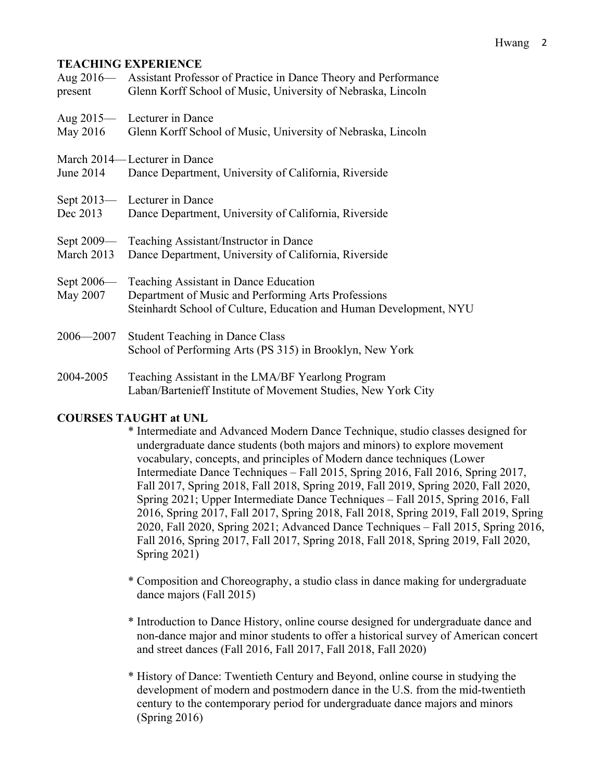#### **TEACHING EXPERIENCE**

| present                   | Aug 2016— Assistant Professor of Practice in Dance Theory and Performance<br>Glenn Korff School of Music, University of Nebraska, Lincoln                          |
|---------------------------|--------------------------------------------------------------------------------------------------------------------------------------------------------------------|
| May 2016                  | Aug 2015— Lecturer in Dance<br>Glenn Korff School of Music, University of Nebraska, Lincoln                                                                        |
| June 2014                 | March 2014—Lecturer in Dance<br>Dance Department, University of California, Riverside                                                                              |
| Sept $2013$ —<br>Dec 2013 | Lecturer in Dance<br>Dance Department, University of California, Riverside                                                                                         |
| Sept 2009—<br>March 2013  | Teaching Assistant/Instructor in Dance<br>Dance Department, University of California, Riverside                                                                    |
| Sept $2006-$<br>May 2007  | Teaching Assistant in Dance Education<br>Department of Music and Performing Arts Professions<br>Steinhardt School of Culture, Education and Human Development, NYU |
| $2006 - 2007$             | <b>Student Teaching in Dance Class</b><br>School of Performing Arts (PS 315) in Brooklyn, New York                                                                 |
| 2004-2005                 | Teaching Assistant in the LMA/BF Yearlong Program<br>Laban/Bartenieff Institute of Movement Studies, New York City                                                 |

#### **COURSES TAUGHT at UNL**

- \* Intermediate and Advanced Modern Dance Technique, studio classes designed for undergraduate dance students (both majors and minors) to explore movement vocabulary, concepts, and principles of Modern dance techniques (Lower Intermediate Dance Techniques – Fall 2015, Spring 2016, Fall 2016, Spring 2017, Fall 2017, Spring 2018, Fall 2018, Spring 2019, Fall 2019, Spring 2020, Fall 2020, Spring 2021; Upper Intermediate Dance Techniques – Fall 2015, Spring 2016, Fall 2016, Spring 2017, Fall 2017, Spring 2018, Fall 2018, Spring 2019, Fall 2019, Spring 2020, Fall 2020, Spring 2021; Advanced Dance Techniques – Fall 2015, Spring 2016, Fall 2016, Spring 2017, Fall 2017, Spring 2018, Fall 2018, Spring 2019, Fall 2020, Spring 2021)
- \* Composition and Choreography, a studio class in dance making for undergraduate dance majors (Fall 2015)
- \* Introduction to Dance History, online course designed for undergraduate dance and non-dance major and minor students to offer a historical survey of American concert and street dances (Fall 2016, Fall 2017, Fall 2018, Fall 2020)
- \* History of Dance: Twentieth Century and Beyond, online course in studying the development of modern and postmodern dance in the U.S. from the mid-twentieth century to the contemporary period for undergraduate dance majors and minors (Spring 2016)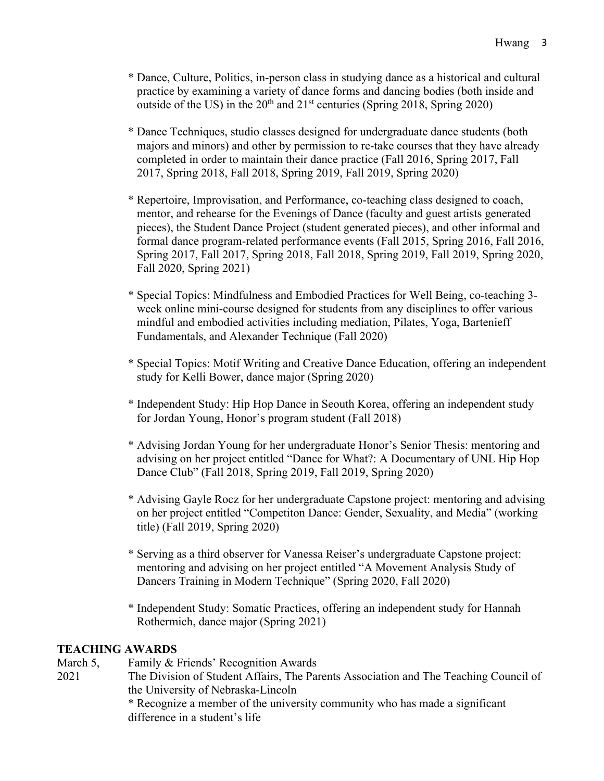- \* Dance, Culture, Politics, in-person class in studying dance as a historical and cultural practice by examining a variety of dance forms and dancing bodies (both inside and outside of the US) in the  $20<sup>th</sup>$  and  $21<sup>st</sup>$  centuries (Spring 2018, Spring 2020)
- \* Dance Techniques, studio classes designed for undergraduate dance students (both majors and minors) and other by permission to re-take courses that they have already completed in order to maintain their dance practice (Fall 2016, Spring 2017, Fall 2017, Spring 2018, Fall 2018, Spring 2019, Fall 2019, Spring 2020)
- \* Repertoire, Improvisation, and Performance, co-teaching class designed to coach, mentor, and rehearse for the Evenings of Dance (faculty and guest artists generated pieces), the Student Dance Project (student generated pieces), and other informal and formal dance program-related performance events (Fall 2015, Spring 2016, Fall 2016, Spring 2017, Fall 2017, Spring 2018, Fall 2018, Spring 2019, Fall 2019, Spring 2020, Fall 2020, Spring 2021)
- \* Special Topics: Mindfulness and Embodied Practices for Well Being, co-teaching 3 week online mini-course designed for students from any disciplines to offer various mindful and embodied activities including mediation, Pilates, Yoga, Bartenieff Fundamentals, and Alexander Technique (Fall 2020)
- \* Special Topics: Motif Writing and Creative Dance Education, offering an independent study for Kelli Bower, dance major (Spring 2020)
- \* Independent Study: Hip Hop Dance in Seouth Korea, offering an independent study for Jordan Young, Honor's program student (Fall 2018)
- \* Advising Jordan Young for her undergraduate Honor's Senior Thesis: mentoring and advising on her project entitled "Dance for What?: A Documentary of UNL Hip Hop Dance Club" (Fall 2018, Spring 2019, Fall 2019, Spring 2020)
- \* Advising Gayle Rocz for her undergraduate Capstone project: mentoring and advising on her project entitled "Competiton Dance: Gender, Sexuality, and Media" (working title) (Fall 2019, Spring 2020)
- \* Serving as a third observer for Vanessa Reiser's undergraduate Capstone project: mentoring and advising on her project entitled "A Movement Analysis Study of Dancers Training in Modern Technique" (Spring 2020, Fall 2020)
- \* Independent Study: Somatic Practices, offering an independent study for Hannah Rothermich, dance major (Spring 2021)

### **TEACHING AWARDS**

March 5, Family & Friends' Recognition Awards

2021 The Division of Student Affairs, The Parents Association and The Teaching Council of the University of Nebraska-Lincoln

> \* Recognize a member of the university community who has made a significant difference in a student's life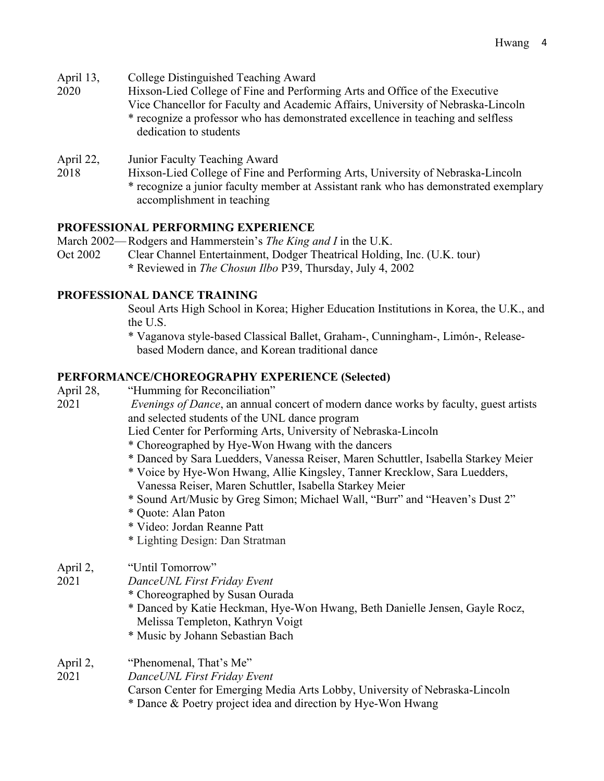- April 13, College Distinguished Teaching Award
- 2020 Hixson-Lied College of Fine and Performing Arts and Office of the Executive Vice Chancellor for Faculty and Academic Affairs, University of Nebraska-Lincoln \* recognize a professor who has demonstrated excellence in teaching and selfless dedication to students
- April 22, Junior Faculty Teaching Award
- 2018 Hixson-Lied College of Fine and Performing Arts, University of Nebraska-Lincoln \* recognize a junior faculty member at Assistant rank who has demonstrated exemplary accomplishment in teaching

#### **PROFESSIONAL PERFORMING EXPERIENCE**

- March 2002—Rodgers and Hammerstein's *The King and I* in the U.K.
- Oct 2002 Clear Channel Entertainment, Dodger Theatrical Holding, Inc. (U.K. tour) **\*** Reviewed in *The Chosun Ilbo* P39, Thursday, July 4, 2002

#### **PROFESSIONAL DANCE TRAINING**

Seoul Arts High School in Korea; Higher Education Institutions in Korea, the U.K., and the U.S.

\* Vaganova style-based Classical Ballet, Graham-, Cunningham-, Limón-, Releasebased Modern dance, and Korean traditional dance

- **PERFORMANCE/CHOREOGRAPHY EXPERIENCE (Selected)** April 28, "Humming for Reconciliation" 2021 *Evenings of Dance*, an annual concert of modern dance works by faculty, guest artists and selected students of the UNL dance program Lied Center for Performing Arts, University of Nebraska-Lincoln \* Choreographed by Hye-Won Hwang with the dancers \* Danced by Sara Luedders, Vanessa Reiser, Maren Schuttler, Isabella Starkey Meier \* Voice by Hye-Won Hwang, Allie Kingsley, Tanner Krecklow, Sara Luedders, Vanessa Reiser, Maren Schuttler, Isabella Starkey Meier \* Sound Art/Music by Greg Simon; Michael Wall, "Burr" and "Heaven's Dust 2" \* Quote: Alan Paton \* Video: Jordan Reanne Patt \* Lighting Design: Dan Stratman April 2, "Until Tomorrow" 2021 *DanceUNL First Friday Event* \* Choreographed by Susan Ourada \* Danced by Katie Heckman, Hye-Won Hwang, Beth Danielle Jensen, Gayle Rocz, Melissa Templeton, Kathryn Voigt \* Music by Johann Sebastian Bach April 2, "Phenomenal, That's Me"
- 2021 *DanceUNL First Friday Event* Carson Center for Emerging Media Arts Lobby, University of Nebraska-Lincoln \* Dance & Poetry project idea and direction by Hye-Won Hwang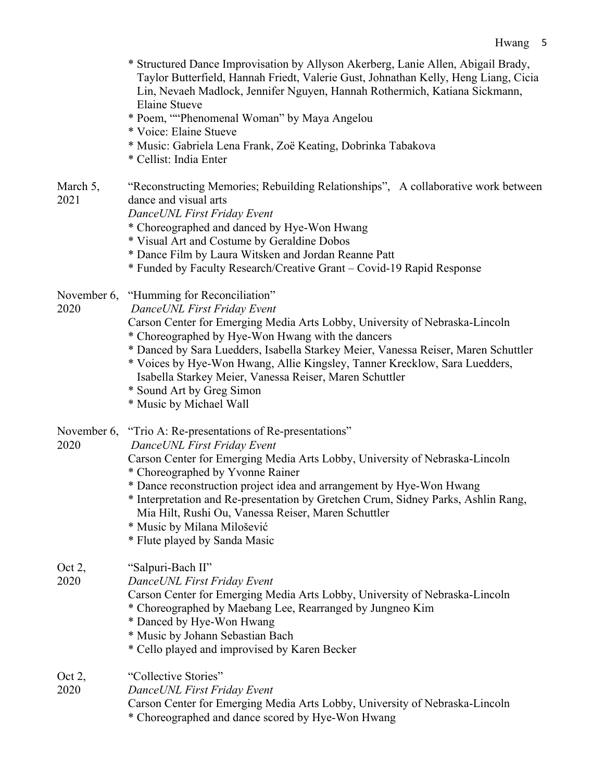|                     | * Structured Dance Improvisation by Allyson Akerberg, Lanie Allen, Abigail Brady,<br>Taylor Butterfield, Hannah Friedt, Valerie Gust, Johnathan Kelly, Heng Liang, Cicia<br>Lin, Nevaeh Madlock, Jennifer Nguyen, Hannah Rothermich, Katiana Sickmann,<br><b>Elaine Stueve</b><br>* Poem, ""Phenomenal Woman" by Maya Angelou<br>* Voice: Elaine Stueve<br>* Music: Gabriela Lena Frank, Zoë Keating, Dobrinka Tabakova<br>* Cellist: India Enter                                      |
|---------------------|----------------------------------------------------------------------------------------------------------------------------------------------------------------------------------------------------------------------------------------------------------------------------------------------------------------------------------------------------------------------------------------------------------------------------------------------------------------------------------------|
| March 5,<br>2021    | "Reconstructing Memories; Rebuilding Relationships", A collaborative work between<br>dance and visual arts<br>DanceUNL First Friday Event<br>* Choreographed and danced by Hye-Won Hwang<br>* Visual Art and Costume by Geraldine Dobos<br>* Dance Film by Laura Witsken and Jordan Reanne Patt<br>* Funded by Faculty Research/Creative Grant – Covid-19 Rapid Response                                                                                                               |
| November 6,<br>2020 | "Humming for Reconciliation"<br>DanceUNL First Friday Event<br>Carson Center for Emerging Media Arts Lobby, University of Nebraska-Lincoln<br>* Choreographed by Hye-Won Hwang with the dancers<br>* Danced by Sara Luedders, Isabella Starkey Meier, Vanessa Reiser, Maren Schuttler<br>* Voices by Hye-Won Hwang, Allie Kingsley, Tanner Krecklow, Sara Luedders,<br>Isabella Starkey Meier, Vanessa Reiser, Maren Schuttler<br>* Sound Art by Greg Simon<br>* Music by Michael Wall |
| November 6,<br>2020 | "Trio A: Re-presentations of Re-presentations"<br>DanceUNL First Friday Event<br>Carson Center for Emerging Media Arts Lobby, University of Nebraska-Lincoln<br>* Choreographed by Yvonne Rainer<br>* Dance reconstruction project idea and arrangement by Hye-Won Hwang<br>* Interpretation and Re-presentation by Gretchen Crum, Sidney Parks, Ashlin Rang,<br>Mia Hilt, Rushi Ou, Vanessa Reiser, Maren Schuttler<br>* Music by Milana Milošević<br>* Flute played by Sanda Masic   |
| Oct 2,<br>2020      | "Salpuri-Bach II"<br>DanceUNL First Friday Event<br>Carson Center for Emerging Media Arts Lobby, University of Nebraska-Lincoln<br>* Choreographed by Maebang Lee, Rearranged by Jungneo Kim<br>* Danced by Hye-Won Hwang<br>* Music by Johann Sebastian Bach<br>* Cello played and improvised by Karen Becker                                                                                                                                                                         |
| Oct 2,<br>2020      | "Collective Stories"<br>Dance UNL First Friday Event<br>Carson Center for Emerging Media Arts Lobby, University of Nebraska-Lincoln<br>* Choreographed and dance scored by Hye-Won Hwang                                                                                                                                                                                                                                                                                               |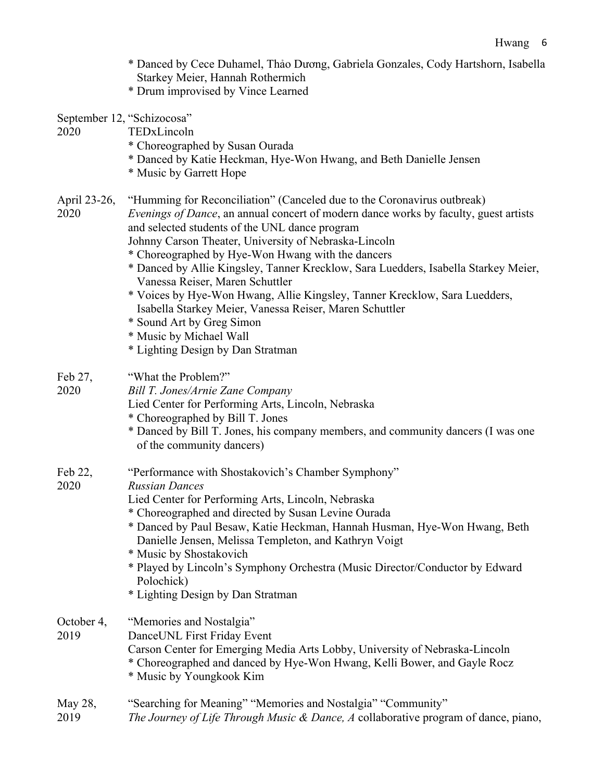- \* Danced by Cece Duhamel, Thảo Dương, Gabriela Gonzales, Cody Hartshorn, Isabella Starkey Meier, Hannah Rothermich
- \* Drum improvised by Vince Learned
- September 12, "Schizocosa"
- 2020 TEDxLincoln
	- \* Choreographed by Susan Ourada
	- \* Danced by Katie Heckman, Hye-Won Hwang, and Beth Danielle Jensen
	- \* Music by Garrett Hope
- April 23-26, "Humming for Reconciliation" (Canceled due to the Coronavirus outbreak)

2020 *Evenings of Dance*, an annual concert of modern dance works by faculty, guest artists and selected students of the UNL dance program

- Johnny Carson Theater, University of Nebraska-Lincoln
- \* Choreographed by Hye-Won Hwang with the dancers
- \* Danced by Allie Kingsley, Tanner Krecklow, Sara Luedders, Isabella Starkey Meier, Vanessa Reiser, Maren Schuttler
- \* Voices by Hye-Won Hwang, Allie Kingsley, Tanner Krecklow, Sara Luedders, Isabella Starkey Meier, Vanessa Reiser, Maren Schuttler
- \* Sound Art by Greg Simon
- \* Music by Michael Wall
- \* Lighting Design by Dan Stratman
- Feb 27, "What the Problem?"
- 2020 *Bill T. Jones/Arnie Zane Company*
	- Lied Center for Performing Arts, Lincoln, Nebraska
	- \* Choreographed by Bill T. Jones
	- \* Danced by Bill T. Jones, his company members, and community dancers (I was one of the community dancers)
- Feb 22, "Performance with Shostakovich's Chamber Symphony"
- 2020 *Russian Dances*
	- Lied Center for Performing Arts, Lincoln, Nebraska
	- \* Choreographed and directed by Susan Levine Ourada
	- \* Danced by Paul Besaw, Katie Heckman, Hannah Husman, Hye-Won Hwang, Beth Danielle Jensen, Melissa Templeton, and Kathryn Voigt
	- \* Music by Shostakovich
	- \* Played by Lincoln's Symphony Orchestra (Music Director/Conductor by Edward Polochick)
	- \* Lighting Design by Dan Stratman
- October 4, "Memories and Nostalgia"
- 2019 DanceUNL First Friday Event
	- Carson Center for Emerging Media Arts Lobby, University of Nebraska-Lincoln \* Choreographed and danced by Hye-Won Hwang, Kelli Bower, and Gayle Rocz
		- \* Music by Youngkook Kim
- May 28, "Searching for Meaning" "Memories and Nostalgia" "Community" 2019 *The Journey of Life Through Music & Dance, A* collaborative program of dance, piano,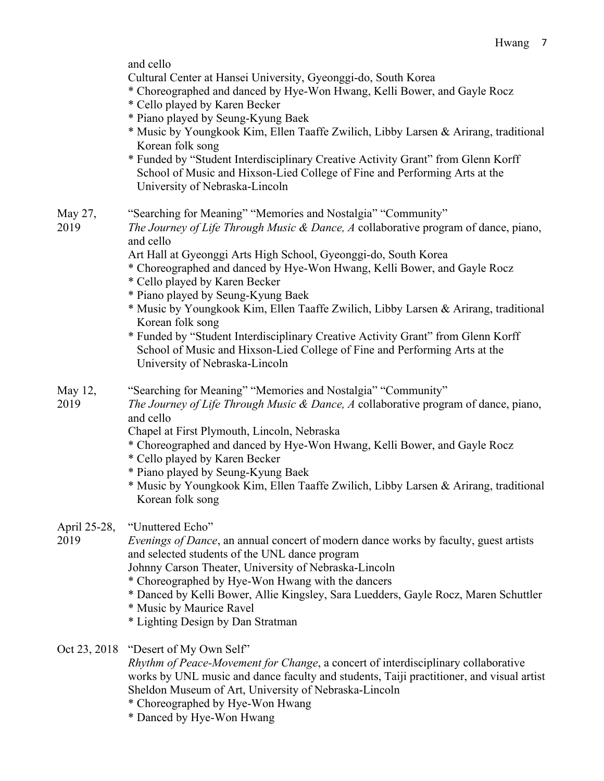and cello

Cultural Center at Hansei University, Gyeonggi-do, South Korea

- \* Choreographed and danced by Hye-Won Hwang, Kelli Bower, and Gayle Rocz
- \* Cello played by Karen Becker
- \* Piano played by Seung-Kyung Baek
- \* Music by Youngkook Kim, Ellen Taaffe Zwilich, Libby Larsen & Arirang, traditional Korean folk song
- \* Funded by "Student Interdisciplinary Creative Activity Grant" from Glenn Korff School of Music and Hixson-Lied College of Fine and Performing Arts at the University of Nebraska-Lincoln

May 27, "Searching for Meaning" "Memories and Nostalgia" "Community"

2019 *The Journey of Life Through Music & Dance, A* collaborative program of dance, piano, and cello

Art Hall at Gyeonggi Arts High School, Gyeonggi-do, South Korea

- \* Choreographed and danced by Hye-Won Hwang, Kelli Bower, and Gayle Rocz
- \* Cello played by Karen Becker
- \* Piano played by Seung-Kyung Baek
- \* Music by Youngkook Kim, Ellen Taaffe Zwilich, Libby Larsen & Arirang, traditional Korean folk song
- \* Funded by "Student Interdisciplinary Creative Activity Grant" from Glenn Korff School of Music and Hixson-Lied College of Fine and Performing Arts at the University of Nebraska-Lincoln
- May 12, "Searching for Meaning" "Memories and Nostalgia" "Community"
- 2019 *The Journey of Life Through Music & Dance, A* collaborative program of dance, piano, and cello
	- Chapel at First Plymouth, Lincoln, Nebraska
	- \* Choreographed and danced by Hye-Won Hwang, Kelli Bower, and Gayle Rocz
	- \* Cello played by Karen Becker
	- \* Piano played by Seung-Kyung Baek
	- \* Music by Youngkook Kim, Ellen Taaffe Zwilich, Libby Larsen & Arirang, traditional Korean folk song
- April 25-28, "Unuttered Echo"

2019 *Evenings of Dance*, an annual concert of modern dance works by faculty, guest artists and selected students of the UNL dance program

- Johnny Carson Theater, University of Nebraska-Lincoln
- \* Choreographed by Hye-Won Hwang with the dancers
- \* Danced by Kelli Bower, Allie Kingsley, Sara Luedders, Gayle Rocz, Maren Schuttler
- \* Music by Maurice Ravel
- \* Lighting Design by Dan Stratman
- Oct 23, 2018 "Desert of My Own Self"

*Rhythm of Peace-Movement for Change*, a concert of interdisciplinary collaborative works by UNL music and dance faculty and students, Taiji practitioner, and visual artist Sheldon Museum of Art, University of Nebraska-Lincoln

- \* Choreographed by Hye-Won Hwang
- \* Danced by Hye-Won Hwang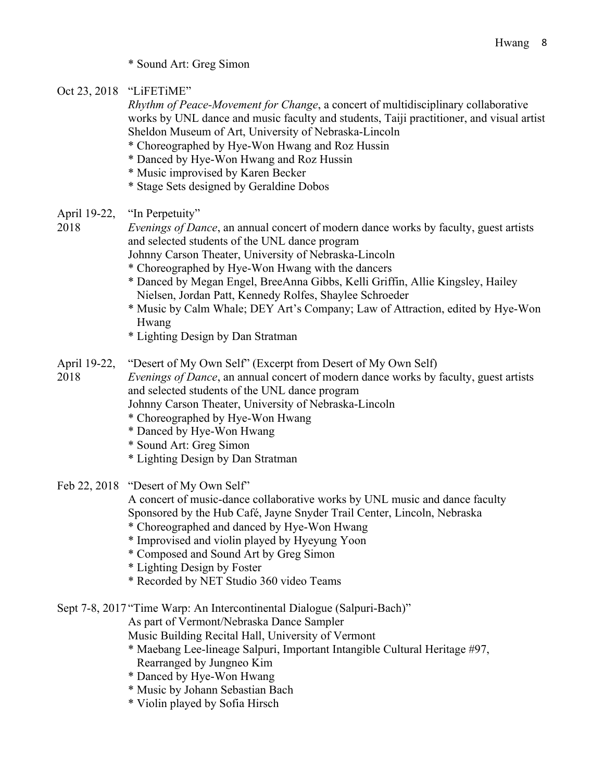- \* Sound Art: Greg Simon
- Oct 23, 2018 "LiFETiME"

*Rhythm of Peace-Movement for Change*, a concert of multidisciplinary collaborative works by UNL dance and music faculty and students, Taiji practitioner, and visual artist Sheldon Museum of Art, University of Nebraska-Lincoln

- \* Choreographed by Hye-Won Hwang and Roz Hussin
- \* Danced by Hye-Won Hwang and Roz Hussin
- \* Music improvised by Karen Becker
- \* Stage Sets designed by Geraldine Dobos
- April 19-22, "In Perpetuity"

2018 *Evenings of Dance*, an annual concert of modern dance works by faculty, guest artists and selected students of the UNL dance program

- Johnny Carson Theater, University of Nebraska-Lincoln
- \* Choreographed by Hye-Won Hwang with the dancers
- \* Danced by Megan Engel, BreeAnna Gibbs, Kelli Griffin, Allie Kingsley, Hailey Nielsen, Jordan Patt, Kennedy Rolfes, Shaylee Schroeder
- \* Music by Calm Whale; DEY Art's Company; Law of Attraction, edited by Hye-Won Hwang
- \* Lighting Design by Dan Stratman
- April 19-22, "Desert of My Own Self" (Excerpt from Desert of My Own Self)

2018 *Evenings of Dance*, an annual concert of modern dance works by faculty, guest artists and selected students of the UNL dance program

- Johnny Carson Theater, University of Nebraska-Lincoln
- \* Choreographed by Hye-Won Hwang
- \* Danced by Hye-Won Hwang
- \* Sound Art: Greg Simon
- \* Lighting Design by Dan Stratman
- Feb 22, 2018 "Desert of My Own Self"

A concert of music-dance collaborative works by UNL music and dance faculty Sponsored by the Hub Café, Jayne Snyder Trail Center, Lincoln, Nebraska

- \* Choreographed and danced by Hye-Won Hwang
- \* Improvised and violin played by Hyeyung Yoon
- \* Composed and Sound Art by Greg Simon
- \* Lighting Design by Foster
- \* Recorded by NET Studio 360 video Teams

Sept 7-8, 2017 "Time Warp: An Intercontinental Dialogue (Salpuri-Bach)"

As part of Vermont/Nebraska Dance Sampler

- Music Building Recital Hall, University of Vermont
- \* Maebang Lee-lineage Salpuri, Important Intangible Cultural Heritage #97, Rearranged by Jungneo Kim
- \* Danced by Hye-Won Hwang
- \* Music by Johann Sebastian Bach
- \* Violin played by Sofia Hirsch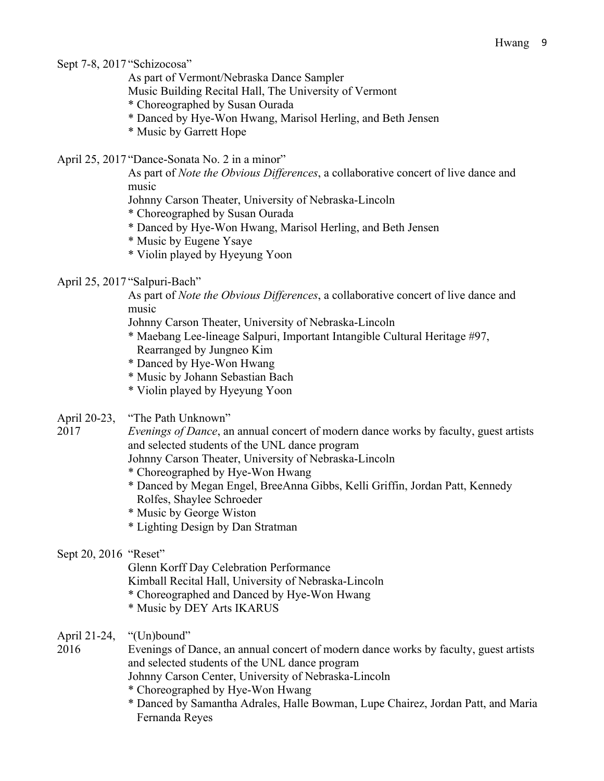Sept 7-8, 2017 "Schizocosa"

As part of Vermont/Nebraska Dance Sampler

Music Building Recital Hall, The University of Vermont

- \* Choreographed by Susan Ourada
- \* Danced by Hye-Won Hwang, Marisol Herling, and Beth Jensen
- \* Music by Garrett Hope
- April 25, 2017 "Dance-Sonata No. 2 in a minor"

As part of *Note the Obvious Differences*, a collaborative concert of live dance and music

Johnny Carson Theater, University of Nebraska-Lincoln

\* Choreographed by Susan Ourada

\* Danced by Hye-Won Hwang, Marisol Herling, and Beth Jensen

\* Music by Eugene Ysaye

- \* Violin played by Hyeyung Yoon
- April 25, 2017 "Salpuri-Bach"

As part of *Note the Obvious Differences*, a collaborative concert of live dance and music

- Johnny Carson Theater, University of Nebraska-Lincoln
- \* Maebang Lee-lineage Salpuri, Important Intangible Cultural Heritage #97, Rearranged by Jungneo Kim
- \* Danced by Hye-Won Hwang
- \* Music by Johann Sebastian Bach
- \* Violin played by Hyeyung Yoon
- April 20-23, "The Path Unknown"

2017 *Evenings of Dance*, an annual concert of modern dance works by faculty, guest artists and selected students of the UNL dance program

Johnny Carson Theater, University of Nebraska-Lincoln

- \* Choreographed by Hye-Won Hwang
- \* Danced by Megan Engel, BreeAnna Gibbs, Kelli Griffin, Jordan Patt, Kennedy Rolfes, Shaylee Schroeder
- \* Music by George Wiston
- \* Lighting Design by Dan Stratman
- Sept 20, 2016 "Reset"

Glenn Korff Day Celebration Performance

Kimball Recital Hall, University of Nebraska-Lincoln

- \* Choreographed and Danced by Hye-Won Hwang
- \* Music by DEY Arts IKARUS
- April 21-24, "(Un)bound"
- 2016 Evenings of Dance, an annual concert of modern dance works by faculty, guest artists and selected students of the UNL dance program

Johnny Carson Center, University of Nebraska-Lincoln

- \* Choreographed by Hye-Won Hwang
- \* Danced by Samantha Adrales, Halle Bowman, Lupe Chairez, Jordan Patt, and Maria Fernanda Reyes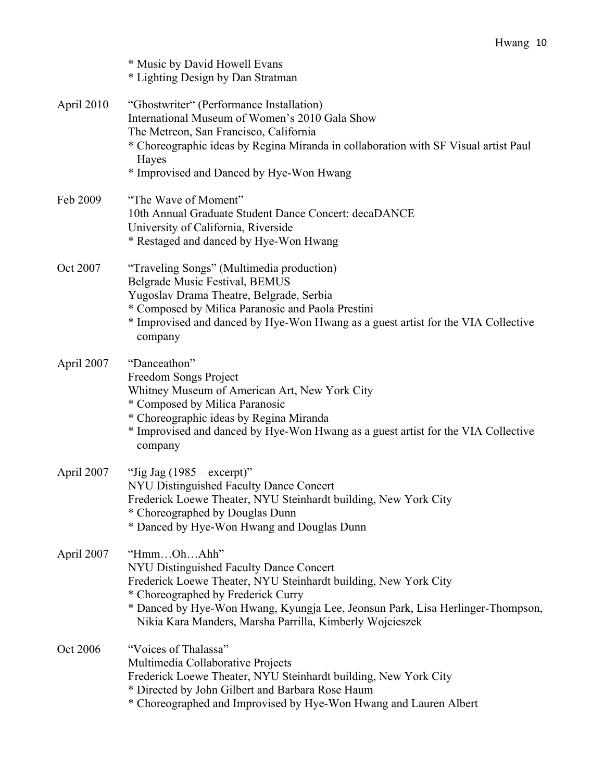|            | * Music by David Howell Evans<br>* Lighting Design by Dan Stratman                                                                                                                                                                                                                                           |
|------------|--------------------------------------------------------------------------------------------------------------------------------------------------------------------------------------------------------------------------------------------------------------------------------------------------------------|
| April 2010 | "Ghostwriter" (Performance Installation)<br>International Museum of Women's 2010 Gala Show<br>The Metreon, San Francisco, California<br>* Choreographic ideas by Regina Miranda in collaboration with SF Visual artist Paul<br>Hayes<br>* Improvised and Danced by Hye-Won Hwang                             |
| Feb 2009   | "The Wave of Moment"<br>10th Annual Graduate Student Dance Concert: decaDANCE<br>University of California, Riverside<br>* Restaged and danced by Hye-Won Hwang                                                                                                                                               |
| Oct 2007   | "Traveling Songs" (Multimedia production)<br>Belgrade Music Festival, BEMUS<br>Yugoslav Drama Theatre, Belgrade, Serbia<br>* Composed by Milica Paranosic and Paola Prestini<br>* Improvised and danced by Hye-Won Hwang as a guest artist for the VIA Collective<br>company                                 |
| April 2007 | "Danceathon"<br>Freedom Songs Project<br>Whitney Museum of American Art, New York City<br>* Composed by Milica Paranosic<br>* Choreographic ideas by Regina Miranda<br>* Improvised and danced by Hye-Won Hwang as a guest artist for the VIA Collective<br>company                                          |
| April 2007 | "Jig Jag $(1985 - \text{except})$ "<br>NYU Distinguished Faculty Dance Concert<br>Frederick Loewe Theater, NYU Steinhardt building, New York City<br>* Choreographed by Douglas Dunn<br>* Danced by Hye-Won Hwang and Douglas Dunn                                                                           |
| April 2007 | "HmmOhAhh"<br>NYU Distinguished Faculty Dance Concert<br>Frederick Loewe Theater, NYU Steinhardt building, New York City<br>* Choreographed by Frederick Curry<br>* Danced by Hye-Won Hwang, Kyungja Lee, Jeonsun Park, Lisa Herlinger-Thompson,<br>Nikia Kara Manders, Marsha Parrilla, Kimberly Wojcieszek |
| Oct 2006   | "Voices of Thalassa"<br>Multimedia Collaborative Projects<br>Frederick Loewe Theater, NYU Steinhardt building, New York City<br>* Directed by John Gilbert and Barbara Rose Haum<br>* Choreographed and Improvised by Hye-Won Hwang and Lauren Albert                                                        |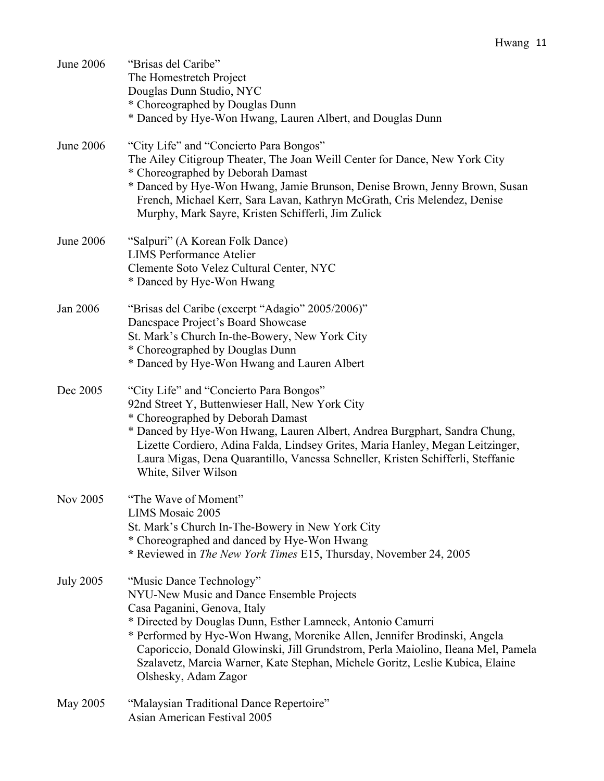| June 2006        | "Brisas del Caribe"<br>The Homestretch Project<br>Douglas Dunn Studio, NYC<br>* Choreographed by Douglas Dunn<br>* Danced by Hye-Won Hwang, Lauren Albert, and Douglas Dunn                                                                                                                                                                                                                                                                    |
|------------------|------------------------------------------------------------------------------------------------------------------------------------------------------------------------------------------------------------------------------------------------------------------------------------------------------------------------------------------------------------------------------------------------------------------------------------------------|
| June 2006        | "City Life" and "Concierto Para Bongos"<br>The Ailey Citigroup Theater, The Joan Weill Center for Dance, New York City<br>* Choreographed by Deborah Damast<br>* Danced by Hye-Won Hwang, Jamie Brunson, Denise Brown, Jenny Brown, Susan<br>French, Michael Kerr, Sara Lavan, Kathryn McGrath, Cris Melendez, Denise<br>Murphy, Mark Sayre, Kristen Schifferli, Jim Zulick                                                                    |
| June 2006        | "Salpuri" (A Korean Folk Dance)<br><b>LIMS Performance Atelier</b><br>Clemente Soto Velez Cultural Center, NYC<br>* Danced by Hye-Won Hwang                                                                                                                                                                                                                                                                                                    |
| Jan 2006         | "Brisas del Caribe (excerpt "Adagio" 2005/2006)"<br>Dancspace Project's Board Showcase<br>St. Mark's Church In-the-Bowery, New York City<br>* Choreographed by Douglas Dunn<br>* Danced by Hye-Won Hwang and Lauren Albert                                                                                                                                                                                                                     |
| Dec 2005         | "City Life" and "Concierto Para Bongos"<br>92nd Street Y, Buttenwieser Hall, New York City<br>* Choreographed by Deborah Damast<br>* Danced by Hye-Won Hwang, Lauren Albert, Andrea Burgphart, Sandra Chung,<br>Lizette Cordiero, Adina Falda, Lindsey Grites, Maria Hanley, Megan Leitzinger,<br>Laura Migas, Dena Quarantillo, Vanessa Schneller, Kristen Schifferli, Steffanie<br>White, Silver Wilson                                      |
| Nov 2005         | "The Wave of Moment"<br>LIMS Mosaic 2005<br>St. Mark's Church In-The-Bowery in New York City<br>* Choreographed and danced by Hye-Won Hwang<br>* Reviewed in The New York Times E15, Thursday, November 24, 2005                                                                                                                                                                                                                               |
| <b>July 2005</b> | "Music Dance Technology"<br>NYU-New Music and Dance Ensemble Projects<br>Casa Paganini, Genova, Italy<br>* Directed by Douglas Dunn, Esther Lamneck, Antonio Camurri<br>* Performed by Hye-Won Hwang, Morenike Allen, Jennifer Brodinski, Angela<br>Caporiccio, Donald Glowinski, Jill Grundstrom, Perla Maiolino, Ileana Mel, Pamela<br>Szalavetz, Marcia Warner, Kate Stephan, Michele Goritz, Leslie Kubica, Elaine<br>Olshesky, Adam Zagor |
| May 2005         | "Malaysian Traditional Dance Repertoire"<br>Asian American Festival 2005                                                                                                                                                                                                                                                                                                                                                                       |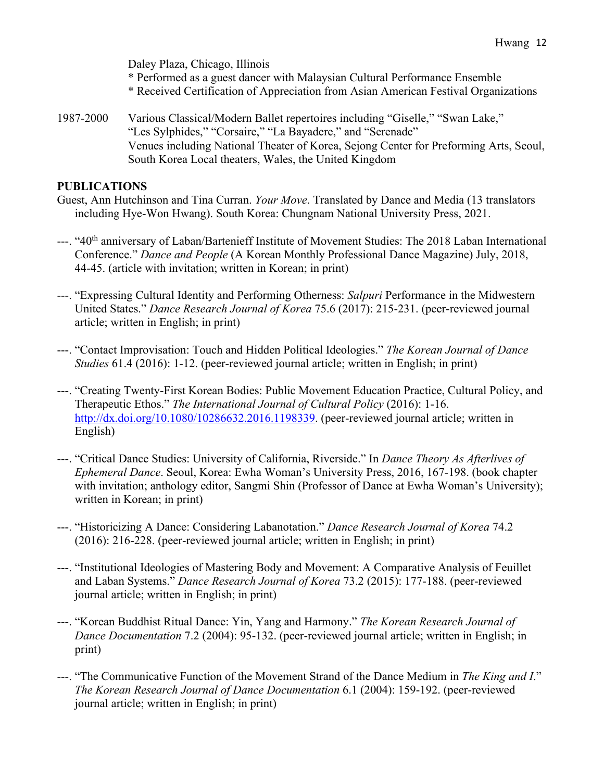Daley Plaza, Chicago, Illinois \* Performed as a guest dancer with Malaysian Cultural Performance Ensemble \* Received Certification of Appreciation from Asian American Festival Organizations

1987-2000 Various Classical/Modern Ballet repertoires including "Giselle," "Swan Lake," "Les Sylphides," "Corsaire," "La Bayadere," and "Serenade" Venues including National Theater of Korea, Sejong Center for Preforming Arts, Seoul, South Korea Local theaters, Wales, the United Kingdom

#### **PUBLICATIONS**

Guest, Ann Hutchinson and Tina Curran. *Your Move*. Translated by Dance and Media (13 translators including Hye-Won Hwang). South Korea: Chungnam National University Press, 2021.

- ---. "40<sup>th</sup> anniversary of Laban/Bartenieff Institute of Movement Studies: The 2018 Laban International Conference." *Dance and People* (A Korean Monthly Professional Dance Magazine) July, 2018, 44-45. (article with invitation; written in Korean; in print)
- ---. "Expressing Cultural Identity and Performing Otherness: *Salpuri* Performance in the Midwestern United States." *Dance Research Journal of Korea* 75.6 (2017): 215-231. (peer-reviewed journal article; written in English; in print)
- ---. "Contact Improvisation: Touch and Hidden Political Ideologies." *The Korean Journal of Dance Studies* 61.4 (2016): 1-12. (peer-reviewed journal article; written in English; in print)
- ---. "Creating Twenty-First Korean Bodies: Public Movement Education Practice, Cultural Policy, and Therapeutic Ethos." *The International Journal of Cultural Policy* (2016): 1-16. http://dx.doi.org/10.1080/10286632.2016.1198339. (peer-reviewed journal article; written in English)
- ---. "Critical Dance Studies: University of California, Riverside." In *Dance Theory As Afterlives of Ephemeral Dance*. Seoul, Korea: Ewha Woman's University Press, 2016, 167-198. (book chapter with invitation; anthology editor, Sangmi Shin (Professor of Dance at Ewha Woman's University); written in Korean; in print)
- ---. "Historicizing A Dance: Considering Labanotation." *Dance Research Journal of Korea* 74.2 (2016): 216-228. (peer-reviewed journal article; written in English; in print)
- ---. "Institutional Ideologies of Mastering Body and Movement: A Comparative Analysis of Feuillet and Laban Systems." *Dance Research Journal of Korea* 73.2 (2015): 177-188. (peer-reviewed journal article; written in English; in print)
- ---. "Korean Buddhist Ritual Dance: Yin, Yang and Harmony." *The Korean Research Journal of Dance Documentation* 7.2 (2004): 95-132. (peer-reviewed journal article; written in English; in print)
- ---. "The Communicative Function of the Movement Strand of the Dance Medium in *The King and I*." *The Korean Research Journal of Dance Documentation* 6.1 (2004): 159-192. (peer-reviewed journal article; written in English; in print)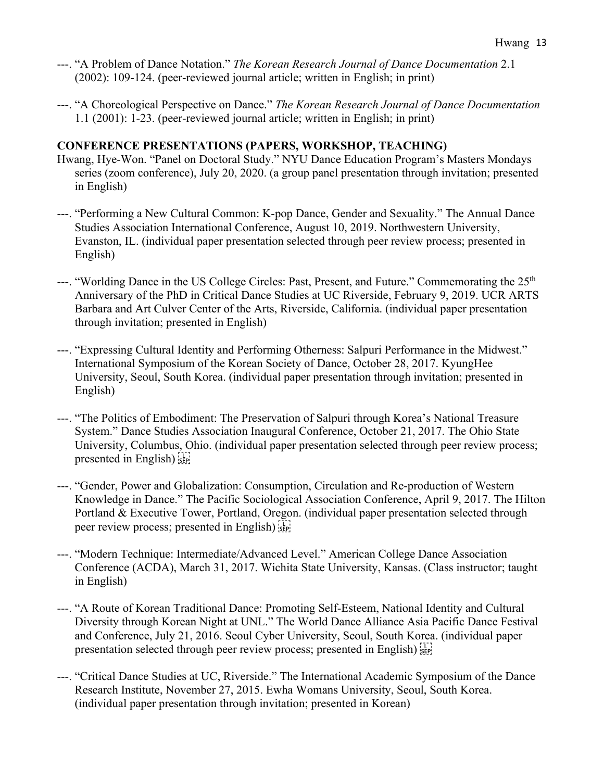- ---. "A Problem of Dance Notation." *The Korean Research Journal of Dance Documentation* 2.1 (2002): 109-124. (peer-reviewed journal article; written in English; in print)
- ---. "A Choreological Perspective on Dance." *The Korean Research Journal of Dance Documentation* 1.1 (2001): 1-23. (peer-reviewed journal article; written in English; in print)

## **CONFERENCE PRESENTATIONS (PAPERS, WORKSHOP, TEACHING)**

- Hwang, Hye-Won. "Panel on Doctoral Study." NYU Dance Education Program's Masters Mondays series (zoom conference), July 20, 2020. (a group panel presentation through invitation; presented in English)
- ---. "Performing a New Cultural Common: K-pop Dance, Gender and Sexuality." The Annual Dance Studies Association International Conference, August 10, 2019. Northwestern University, Evanston, IL. (individual paper presentation selected through peer review process; presented in English)
- ---. "Worlding Dance in the US College Circles: Past, Present, and Future." Commemorating the 25<sup>th</sup> Anniversary of the PhD in Critical Dance Studies at UC Riverside, February 9, 2019. UCR ARTS Barbara and Art Culver Center of the Arts, Riverside, California. (individual paper presentation through invitation; presented in English)
- ---. "Expressing Cultural Identity and Performing Otherness: Salpuri Performance in the Midwest." International Symposium of the Korean Society of Dance, October 28, 2017. KyungHee University, Seoul, South Korea. (individual paper presentation through invitation; presented in English)
- ---. "The Politics of Embodiment: The Preservation of Salpuri through Korea's National Treasure System." Dance Studies Association Inaugural Conference, October 21, 2017. The Ohio State University, Columbus, Ohio. (individual paper presentation selected through peer review process; presented in English)
- ---. "Gender, Power and Globalization: Consumption, Circulation and Re-production of Western Knowledge in Dance." The Pacific Sociological Association Conference, April 9, 2017. The Hilton Portland & Executive Tower, Portland, Oregon. (individual paper presentation selected through peer review process; presented in English)
- ---. "Modern Technique: Intermediate/Advanced Level." American College Dance Association Conference (ACDA), March 31, 2017. Wichita State University, Kansas. (Class instructor; taught in English)
- ---. "A Route of Korean Traditional Dance: Promoting Self-Esteem, National Identity and Cultural Diversity through Korean Night at UNL." The World Dance Alliance Asia Pacific Dance Festival and Conference, July 21, 2016. Seoul Cyber University, Seoul, South Korea. (individual paper presentation selected through peer review process; presented in English)
- ---. "Critical Dance Studies at UC, Riverside." The International Academic Symposium of the Dance Research Institute, November 27, 2015. Ewha Womans University, Seoul, South Korea. (individual paper presentation through invitation; presented in Korean)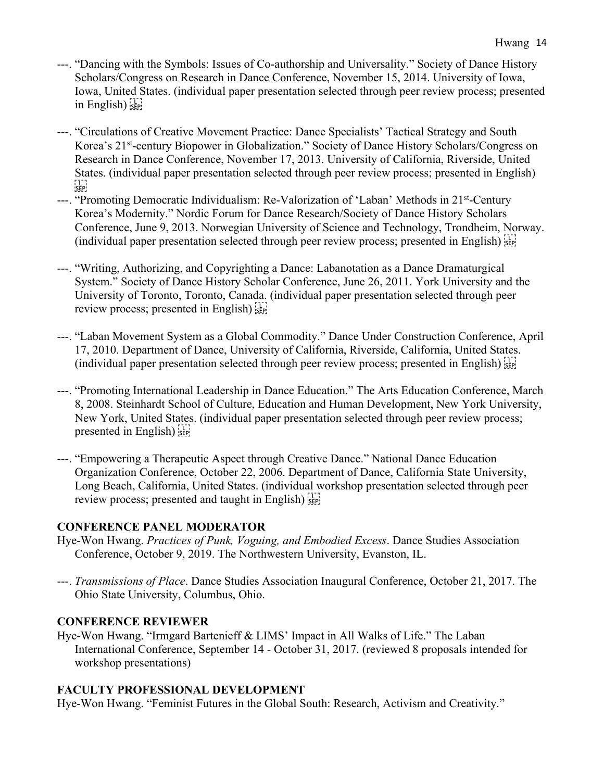- ---. "Dancing with the Symbols: Issues of Co-authorship and Universality." Society of Dance History Scholars/Congress on Research in Dance Conference, November 15, 2014. University of Iowa, Iowa, United States. (individual paper presentation selected through peer review process; presented in English)
- ---. "Circulations of Creative Movement Practice: Dance Specialists' Tactical Strategy and South Korea's 21st-century Biopower in Globalization." Society of Dance History Scholars/Congress on Research in Dance Conference, November 17, 2013. University of California, Riverside, United States. (individual paper presentation selected through peer review process; presented in English)  $\sum_{\mathsf{SEP}}$
- ---. "Promoting Democratic Individualism: Re-Valorization of 'Laban' Methods in 21<sup>st</sup>-Century Korea's Modernity." Nordic Forum for Dance Research/Society of Dance History Scholars Conference, June 9, 2013. Norwegian University of Science and Technology, Trondheim, Norway. (individual paper presentation selected through peer review process; presented in English)
- ---. "Writing, Authorizing, and Copyrighting a Dance: Labanotation as a Dance Dramaturgical System." Society of Dance History Scholar Conference, June 26, 2011. York University and the University of Toronto, Toronto, Canada. (individual paper presentation selected through peer review process; presented in English) see
- ---. "Laban Movement System as a Global Commodity." Dance Under Construction Conference, April 17, 2010. Department of Dance, University of California, Riverside, California, United States. (individual paper presentation selected through peer review process; presented in English)
- ---. "Promoting International Leadership in Dance Education." The Arts Education Conference, March 8, 2008. Steinhardt School of Culture, Education and Human Development, New York University, New York, United States. (individual paper presentation selected through peer review process; presented in English)
- ---. "Empowering a Therapeutic Aspect through Creative Dance." National Dance Education Organization Conference, October 22, 2006. Department of Dance, California State University, Long Beach, California, United States. (individual workshop presentation selected through peer review process; presented and taught in English)

### **CONFERENCE PANEL MODERATOR**

- Hye-Won Hwang. *Practices of Punk, Voguing, and Embodied Excess*. Dance Studies Association Conference, October 9, 2019. The Northwestern University, Evanston, IL.
- ---. *Transmissions of Place*. Dance Studies Association Inaugural Conference, October 21, 2017. The Ohio State University, Columbus, Ohio.

### **CONFERENCE REVIEWER**

Hye-Won Hwang. "Irmgard Bartenieff & LIMS' Impact in All Walks of Life." The Laban International Conference, September 14 - October 31, 2017. (reviewed 8 proposals intended for workshop presentations)

### **FACULTY PROFESSIONAL DEVELOPMENT**

Hye-Won Hwang. "Feminist Futures in the Global South: Research, Activism and Creativity."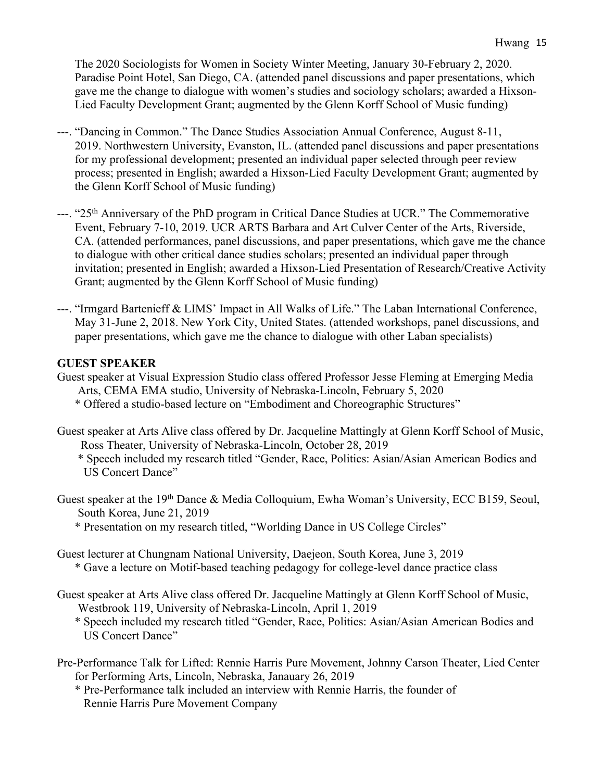The 2020 Sociologists for Women in Society Winter Meeting, January 30-February 2, 2020. Paradise Point Hotel, San Diego, CA. (attended panel discussions and paper presentations, which gave me the change to dialogue with women's studies and sociology scholars; awarded a Hixson-Lied Faculty Development Grant; augmented by the Glenn Korff School of Music funding)

- ---. "Dancing in Common." The Dance Studies Association Annual Conference, August 8-11, 2019. Northwestern University, Evanston, IL. (attended panel discussions and paper presentations for my professional development; presented an individual paper selected through peer review process; presented in English; awarded a Hixson-Lied Faculty Development Grant; augmented by the Glenn Korff School of Music funding)
- ---. "25<sup>th</sup> Anniversary of the PhD program in Critical Dance Studies at UCR." The Commemorative Event, February 7-10, 2019. UCR ARTS Barbara and Art Culver Center of the Arts, Riverside, CA. (attended performances, panel discussions, and paper presentations, which gave me the chance to dialogue with other critical dance studies scholars; presented an individual paper through invitation; presented in English; awarded a Hixson-Lied Presentation of Research/Creative Activity Grant; augmented by the Glenn Korff School of Music funding)
- ---. "Irmgard Bartenieff & LIMS' Impact in All Walks of Life." The Laban International Conference, May 31-June 2, 2018. New York City, United States. (attended workshops, panel discussions, and paper presentations, which gave me the chance to dialogue with other Laban specialists)

### **GUEST SPEAKER**

- Guest speaker at Visual Expression Studio class offered Professor Jesse Fleming at Emerging Media Arts, CEMA EMA studio, University of Nebraska-Lincoln, February 5, 2020
	- \* Offered a studio-based lecture on "Embodiment and Choreographic Structures"
- Guest speaker at Arts Alive class offered by Dr. Jacqueline Mattingly at Glenn Korff School of Music, Ross Theater, University of Nebraska-Lincoln, October 28, 2019
	- \* Speech included my research titled "Gender, Race, Politics: Asian/Asian American Bodies and US Concert Dance"
- Guest speaker at the 19<sup>th</sup> Dance & Media Colloquium, Ewha Woman's University, ECC B159, Seoul, South Korea, June 21, 2019
	- \* Presentation on my research titled, "Worlding Dance in US College Circles"
- Guest lecturer at Chungnam National University, Daejeon, South Korea, June 3, 2019 \* Gave a lecture on Motif-based teaching pedagogy for college-level dance practice class
- Guest speaker at Arts Alive class offered Dr. Jacqueline Mattingly at Glenn Korff School of Music, Westbrook 119, University of Nebraska-Lincoln, April 1, 2019
	- \* Speech included my research titled "Gender, Race, Politics: Asian/Asian American Bodies and US Concert Dance"
- Pre-Performance Talk for Lifted: Rennie Harris Pure Movement, Johnny Carson Theater, Lied Center for Performing Arts, Lincoln, Nebraska, Janauary 26, 2019
	- \* Pre-Performance talk included an interview with Rennie Harris, the founder of Rennie Harris Pure Movement Company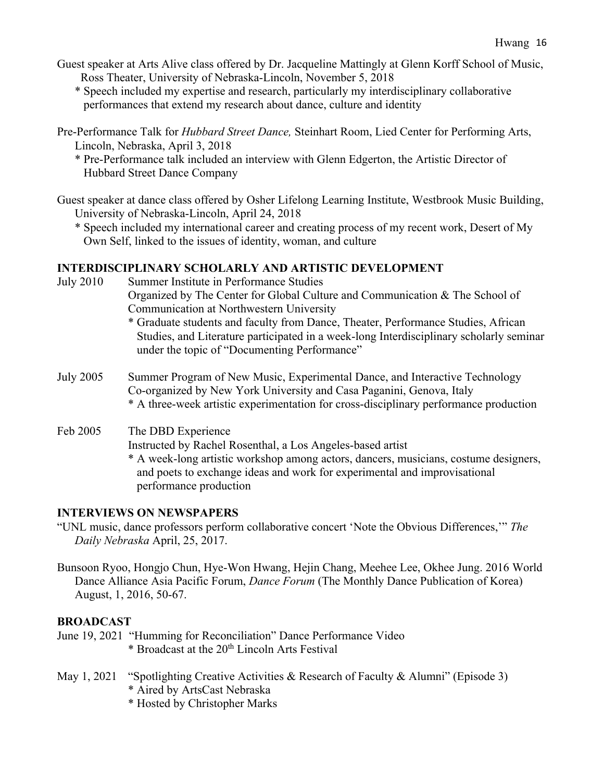- Guest speaker at Arts Alive class offered by Dr. Jacqueline Mattingly at Glenn Korff School of Music, Ross Theater, University of Nebraska-Lincoln, November 5, 2018
	- \* Speech included my expertise and research, particularly my interdisciplinary collaborative performances that extend my research about dance, culture and identity
- Pre-Performance Talk for *Hubbard Street Dance,* Steinhart Room, Lied Center for Performing Arts, Lincoln, Nebraska, April 3, 2018
	- \* Pre-Performance talk included an interview with Glenn Edgerton, the Artistic Director of Hubbard Street Dance Company
- Guest speaker at dance class offered by Osher Lifelong Learning Institute, Westbrook Music Building, University of Nebraska-Lincoln, April 24, 2018
	- \* Speech included my international career and creating process of my recent work, Desert of My Own Self, linked to the issues of identity, woman, and culture

# **INTERDISCIPLINARY SCHOLARLY AND ARTISTIC DEVELOPMENT**

- July 2010 Summer Institute in Performance Studies Organized by The Center for Global Culture and Communication & The School of Communication at Northwestern University \* Graduate students and faculty from Dance, Theater, Performance Studies, African
	- Studies, and Literature participated in a week-long Interdisciplinary scholarly seminar under the topic of "Documenting Performance"
- July 2005 Summer Program of New Music, Experimental Dance, and Interactive Technology Co-organized by New York University and Casa Paganini, Genova, Italy \* A three-week artistic experimentation for cross-disciplinary performance production

# Feb 2005 The DBD Experience

Instructed by Rachel Rosenthal, a Los Angeles-based artist

\* A week-long artistic workshop among actors, dancers, musicians, costume designers, and poets to exchange ideas and work for experimental and improvisational performance production

# **INTERVIEWS ON NEWSPAPERS**

- "UNL music, dance professors perform collaborative concert 'Note the Obvious Differences,'" *The Daily Nebraska* April, 25, 2017.
- Bunsoon Ryoo, Hongjo Chun, Hye-Won Hwang, Hejin Chang, Meehee Lee, Okhee Jung. 2016 World Dance Alliance Asia Pacific Forum, *Dance Forum* (The Monthly Dance Publication of Korea) August, 1, 2016, 50-67.

# **BROADCAST**

June 19, 2021 "Humming for Reconciliation" Dance Performance Video \* Broadcast at the 20th Lincoln Arts Festival

- May 1, 2021 "Spotlighting Creative Activities & Research of Faculty & Alumni" (Episode 3)
	- \* Aired by ArtsCast Nebraska
	- \* Hosted by Christopher Marks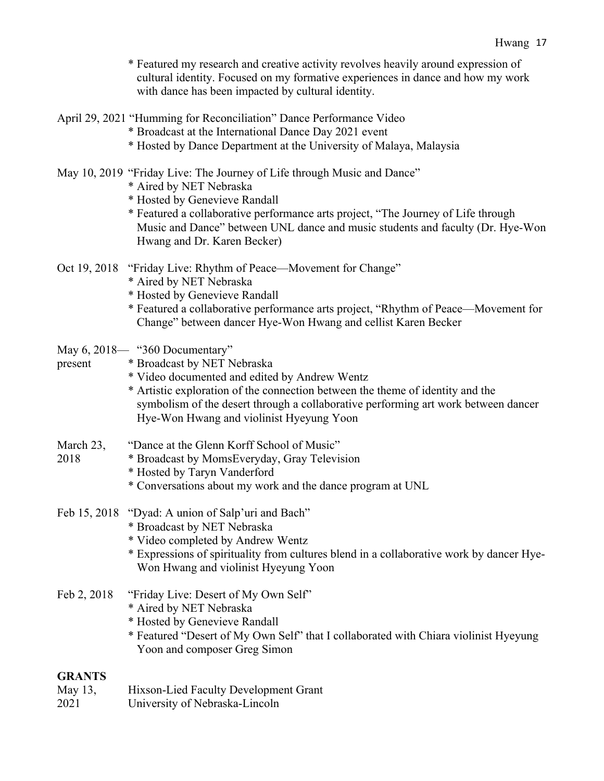| * Featured my research and creative activity revolves heavily around expression of |
|------------------------------------------------------------------------------------|
| cultural identity. Focused on my formative experiences in dance and how my work    |
| with dance has been impacted by cultural identity.                                 |

|  |  |  |  |  | April 29, 2021 "Humming for Reconciliation" Dance Performance Video |  |
|--|--|--|--|--|---------------------------------------------------------------------|--|
|  |  |  |  |  |                                                                     |  |

- \* Broadcast at the International Dance Day 2021 event
- \* Hosted by Dance Department at the University of Malaya, Malaysia

#### May 10, 2019 "Friday Live: The Journey of Life through Music and Dance"

- \* Aired by NET Nebraska
- \* Hosted by Genevieve Randall
- \* Featured a collaborative performance arts project, "The Journey of Life through Music and Dance" between UNL dance and music students and faculty (Dr. Hye-Won Hwang and Dr. Karen Becker)
- Oct 19, 2018 "Friday Live: Rhythm of Peace—Movement for Change"
	- \* Aired by NET Nebraska
	- \* Hosted by Genevieve Randall
	- \* Featured a collaborative performance arts project, "Rhythm of Peace—Movement for Change" between dancer Hye-Won Hwang and cellist Karen Becker
- May 6, 2018— "360 Documentary"
- present \* Broadcast by NET Nebraska
	- \* Video documented and edited by Andrew Wentz
	- \* Artistic exploration of the connection between the theme of identity and the symbolism of the desert through a collaborative performing art work between dancer Hye-Won Hwang and violinist Hyeyung Yoon
- March 23, "Dance at the Glenn Korff School of Music"
- 2018 \* Broadcast by MomsEveryday, Gray Television
	- \* Hosted by Taryn Vanderford
	- \* Conversations about my work and the dance program at UNL
- Feb 15, 2018 "Dyad: A union of Salp'uri and Bach"
	- \* Broadcast by NET Nebraska
	- \* Video completed by Andrew Wentz
	- \* Expressions of spirituality from cultures blend in a collaborative work by dancer Hye-Won Hwang and violinist Hyeyung Yoon
- Feb 2, 2018 "Friday Live: Desert of My Own Self"
	- \* Aired by NET Nebraska
	- \* Hosted by Genevieve Randall
	- \* Featured "Desert of My Own Self" that I collaborated with Chiara violinist Hyeyung Yoon and composer Greg Simon

#### **GRANTS**

- May 13, Hixson-Lied Faculty Development Grant
- 2021 University of Nebraska-Lincoln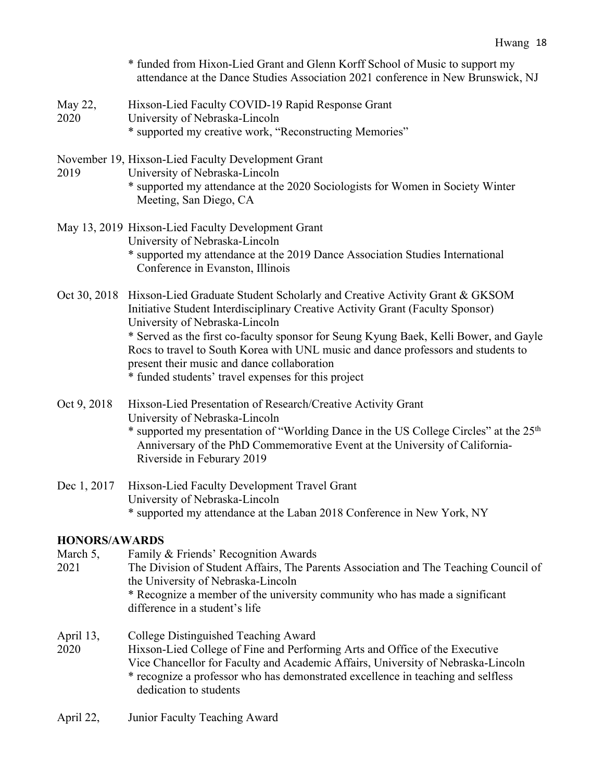|                 | Hwang 18                                                                                                                                                                                                                                                                                                                                                                                                                                 |
|-----------------|------------------------------------------------------------------------------------------------------------------------------------------------------------------------------------------------------------------------------------------------------------------------------------------------------------------------------------------------------------------------------------------------------------------------------------------|
|                 | * funded from Hixon-Lied Grant and Glenn Korff School of Music to support my<br>attendance at the Dance Studies Association 2021 conference in New Brunswick, NJ                                                                                                                                                                                                                                                                         |
| May 22,<br>2020 | Hixson-Lied Faculty COVID-19 Rapid Response Grant<br>University of Nebraska-Lincoln<br>* supported my creative work, "Reconstructing Memories"                                                                                                                                                                                                                                                                                           |
| 2019            | November 19, Hixson-Lied Faculty Development Grant<br>University of Nebraska-Lincoln<br>* supported my attendance at the 2020 Sociologists for Women in Society Winter<br>Meeting, San Diego, CA                                                                                                                                                                                                                                         |
|                 | May 13, 2019 Hixson-Lied Faculty Development Grant<br>University of Nebraska-Lincoln<br>* supported my attendance at the 2019 Dance Association Studies International<br>Conference in Evanston, Illinois                                                                                                                                                                                                                                |
|                 | Oct 30, 2018 Hixson-Lied Graduate Student Scholarly and Creative Activity Grant & GKSOM<br>Initiative Student Interdisciplinary Creative Activity Grant (Faculty Sponsor)<br>University of Nebraska-Lincoln<br>* Served as the first co-faculty sponsor for Seung Kyung Baek, Kelli Bower, and Gayle<br>Rocs to travel to South Korea with UNL music and dance professors and students to<br>present their music and dance collaboration |

\* funded students' travel expenses for this project

- Oct 9, 2018 Hixson-Lied Presentation of Research/Creative Activity Grant University of Nebraska-Lincoln \* supported my presentation of "Worlding Dance in the US College Circles" at the 25<sup>th</sup> Anniversary of the PhD Commemorative Event at the University of California-Riverside in Feburary 2019
- Dec 1, 2017 Hixson-Lied Faculty Development Travel Grant University of Nebraska-Lincoln \* supported my attendance at the Laban 2018 Conference in New York, NY

## **HONORS/AWARDS**

- March 5, Family & Friends' Recognition Awards
- 2021 The Division of Student Affairs, The Parents Association and The Teaching Council of the University of Nebraska-Lincoln \* Recognize a member of the university community who has made a significant
	- difference in a student's life
- April 13, College Distinguished Teaching Award 2020 Hixson-Lied College of Fine and Performing Arts and Office of the Executive Vice Chancellor for Faculty and Academic Affairs, University of Nebraska-Lincoln \* recognize a professor who has demonstrated excellence in teaching and selfless dedication to students
- April 22, Junior Faculty Teaching Award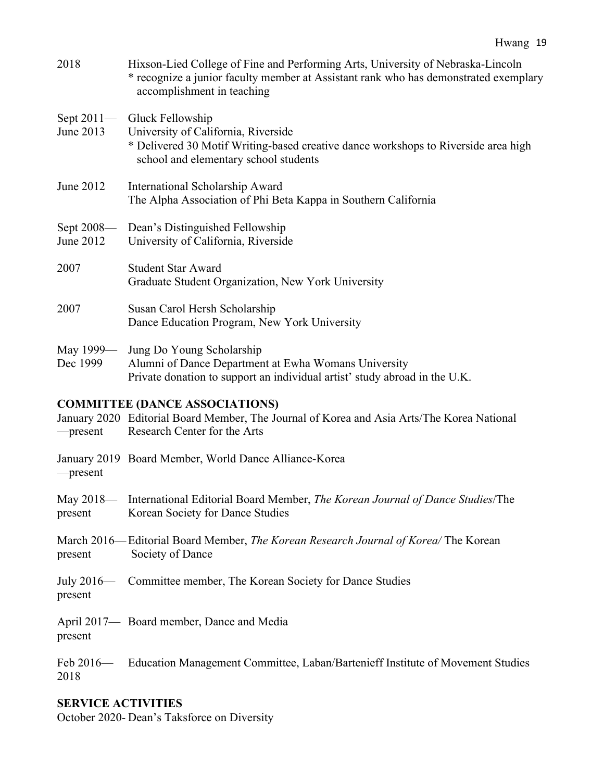| 2018                      | Hixson-Lied College of Fine and Performing Arts, University of Nebraska-Lincoln<br>* recognize a junior faculty member at Assistant rank who has demonstrated exemplary<br>accomplishment in teaching |
|---------------------------|-------------------------------------------------------------------------------------------------------------------------------------------------------------------------------------------------------|
| Sept $2011-$<br>June 2013 | Gluck Fellowship<br>University of California, Riverside<br>* Delivered 30 Motif Writing-based creative dance workshops to Riverside area high<br>school and elementary school students                |
| June 2012                 | International Scholarship Award<br>The Alpha Association of Phi Beta Kappa in Southern California                                                                                                     |
| Sept 2008-<br>June 2012   | Dean's Distinguished Fellowship<br>University of California, Riverside                                                                                                                                |
| 2007                      | <b>Student Star Award</b><br>Graduate Student Organization, New York University                                                                                                                       |
| 2007                      | Susan Carol Hersh Scholarship<br>Dance Education Program, New York University                                                                                                                         |
| May 1999—<br>Dec 1999     | Jung Do Young Scholarship<br>Alumni of Dance Department at Ewha Womans University<br>Private donation to support an individual artist' study abroad in the U.K.                                       |

## **COMMITTEE (DANCE ASSOCIATIONS)**

January 2020 Editorial Board Member, The Journal of Korea and Asia Arts/The Korea National —present Research Center for the Arts

- January 2019 Board Member, World Dance Alliance-Korea
- —present
- May 2018— International Editorial Board Member, *The Korean Journal of Dance Studies*/The present Korean Society for Dance Studies
- March 2016—Editorial Board Member, *The Korean Research Journal of Korea/* The Korean present Society of Dance
- July 2016— Committee member, The Korean Society for Dance Studies present
- April 2017— Board member, Dance and Media present
- Feb 2016— Education Management Committee, Laban/Bartenieff Institute of Movement Studies 2018

## **SERVICE ACTIVITIES**

October 2020- Dean's Taksforce on Diversity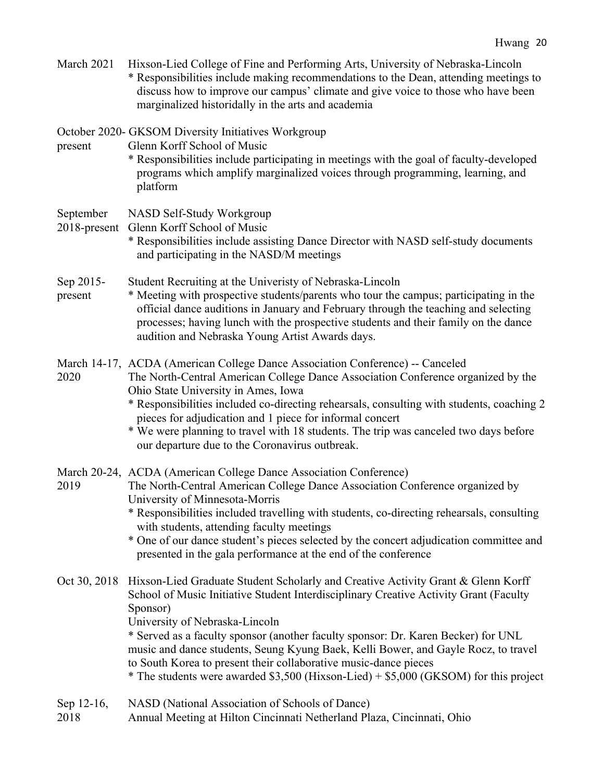| March 2021                | Hixson-Lied College of Fine and Performing Arts, University of Nebraska-Lincoln<br>* Responsibilities include making recommendations to the Dean, attending meetings to<br>discuss how to improve our campus' climate and give voice to those who have been<br>marginalized historidally in the arts and academia                                                                                                                                                                                                                                              |  |  |  |  |  |
|---------------------------|----------------------------------------------------------------------------------------------------------------------------------------------------------------------------------------------------------------------------------------------------------------------------------------------------------------------------------------------------------------------------------------------------------------------------------------------------------------------------------------------------------------------------------------------------------------|--|--|--|--|--|
| present                   | October 2020- GKSOM Diversity Initiatives Workgroup<br>Glenn Korff School of Music<br>* Responsibilities include participating in meetings with the goal of faculty-developed<br>programs which amplify marginalized voices through programming, learning, and<br>platform                                                                                                                                                                                                                                                                                     |  |  |  |  |  |
| September<br>2018-present | NASD Self-Study Workgroup<br>Glenn Korff School of Music<br>* Responsibilities include assisting Dance Director with NASD self-study documents<br>and participating in the NASD/M meetings                                                                                                                                                                                                                                                                                                                                                                     |  |  |  |  |  |
| Sep 2015-<br>present      | Student Recruiting at the Univeristy of Nebraska-Lincoln<br>* Meeting with prospective students/parents who tour the campus; participating in the<br>official dance auditions in January and February through the teaching and selecting<br>processes; having lunch with the prospective students and their family on the dance<br>audition and Nebraska Young Artist Awards days.                                                                                                                                                                             |  |  |  |  |  |
| 2020                      | March 14-17, ACDA (American College Dance Association Conference) -- Canceled<br>The North-Central American College Dance Association Conference organized by the<br>Ohio State University in Ames, Iowa<br>* Responsibilities included co-directing rehearsals, consulting with students, coaching 2<br>pieces for adjudication and 1 piece for informal concert<br>* We were planning to travel with 18 students. The trip was canceled two days before<br>our departure due to the Coronavirus outbreak.                                                    |  |  |  |  |  |
| 2019                      | March 20-24, ACDA (American College Dance Association Conference)<br>The North-Central American College Dance Association Conference organized by<br>University of Minnesota-Morris<br>* Responsibilities included travelling with students, co-directing rehearsals, consulting<br>with students, attending faculty meetings<br>* One of our dance student's pieces selected by the concert adjudication committee and<br>presented in the gala performance at the end of the conference                                                                      |  |  |  |  |  |
| Oct 30, 2018              | Hixson-Lied Graduate Student Scholarly and Creative Activity Grant & Glenn Korff<br>School of Music Initiative Student Interdisciplinary Creative Activity Grant (Faculty<br>Sponsor)<br>University of Nebraska-Lincoln<br>* Served as a faculty sponsor (another faculty sponsor: Dr. Karen Becker) for UNL<br>music and dance students, Seung Kyung Baek, Kelli Bower, and Gayle Rocz, to travel<br>to South Korea to present their collaborative music-dance pieces<br>* The students were awarded \$3,500 (Hixson-Lied) + \$5,000 (GKSOM) for this project |  |  |  |  |  |
| Sep 12-16,<br>2018        | NASD (National Association of Schools of Dance)<br>Annual Meeting at Hilton Cincinnati Netherland Plaza, Cincinnati, Ohio                                                                                                                                                                                                                                                                                                                                                                                                                                      |  |  |  |  |  |